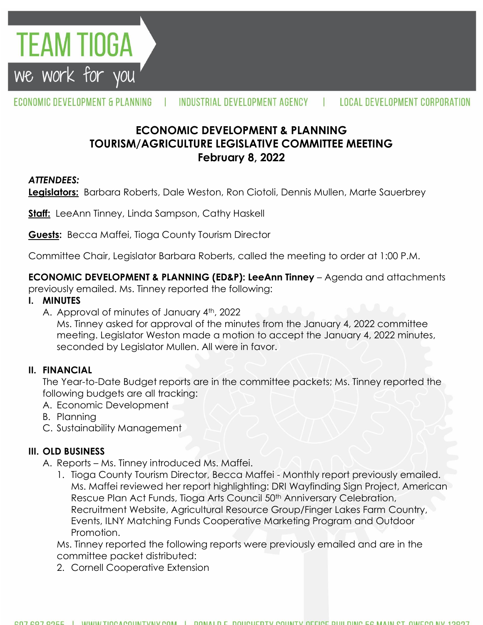

#### ECONOMIC DEVELOPMENT & PLANNING INDUSTRIAL DEVELOPMENT AGENCY **LOCAL DEVELOPMENT CORPORATION**

# **ECONOMIC DEVELOPMENT & PLANNING TOURISM/AGRICULTURE LEGISLATIVE COMMITTEE MEETING February 8, 2022**

## *ATTENDEES:*

**Legislators:** Barbara Roberts, Dale Weston, Ron Ciotoli, Dennis Mullen, Marte Sauerbrey

**Staff:** LeeAnn Tinney, Linda Sampson, Cathy Haskell

**Guests:** Becca Maffei, Tioga County Tourism Director

Committee Chair, Legislator Barbara Roberts, called the meeting to order at 1:00 P.M.

**ECONOMIC DEVELOPMENT & PLANNING (ED&P): LeeAnn Tinney** – Agenda and attachments

previously emailed. Ms. Tinney reported the following:

#### **I. MINUTES**

A. Approval of minutes of January 4<sup>th</sup>, 2022

Ms. Tinney asked for approval of the minutes from the January 4, 2022 committee meeting. Legislator Weston made a motion to accept the January 4, 2022 minutes, seconded by Legislator Mullen. All were in favor.

## **II. FINANCIAL**

The Year-to-Date Budget reports are in the committee packets; Ms. Tinney reported the following budgets are all tracking:

- A. Economic Development
- B. Planning
- C. Sustainability Management

## **III. OLD BUSINESS**

- A. Reports Ms. Tinney introduced Ms. Maffei.
	- 1. Tioga County Tourism Director, Becca Maffei Monthly report previously emailed. Ms. Maffei reviewed her report highlighting: DRI Wayfinding Sign Project, American Rescue Plan Act Funds, Tioga Arts Council 50<sup>th</sup> Anniversary Celebration, Recruitment Website, Agricultural Resource Group/Finger Lakes Farm Country, Events, ILNY Matching Funds Cooperative Marketing Program and Outdoor Promotion.

Ms. Tinney reported the following reports were previously emailed and are in the committee packet distributed:

2. Cornell Cooperative Extension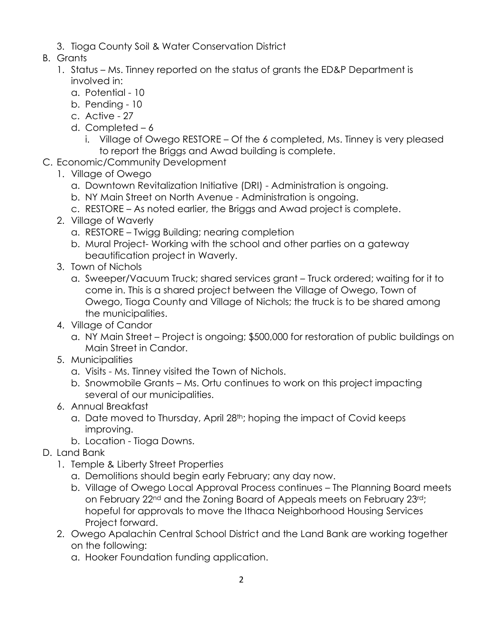- 3. Tioga County Soil & Water Conservation District
- B. Grants
	- 1. Status Ms. Tinney reported on the status of grants the ED&P Department is involved in:
		- a. Potential 10
		- b. Pending 10
		- c. Active 27
		- d. Completed 6
			- i. Village of Owego RESTORE Of the 6 completed, Ms. Tinney is very pleased to report the Briggs and Awad building is complete.
- C. Economic/Community Development
	- 1. Village of Owego
		- a. Downtown Revitalization Initiative (DRI) Administration is ongoing.
		- b. NY Main Street on North Avenue Administration is ongoing.
		- c. RESTORE As noted earlier, the Briggs and Awad project is complete.
	- 2. Village of Waverly
		- a. RESTORE Twigg Building; nearing completion
		- b. Mural Project- Working with the school and other parties on a gateway beautification project in Waverly.
	- 3. Town of Nichols
		- a. Sweeper/Vacuum Truck; shared services grant Truck ordered; waiting for it to come in. This is a shared project between the Village of Owego, Town of Owego, Tioga County and Village of Nichols; the truck is to be shared among the municipalities.
	- 4. Village of Candor
		- a. NY Main Street Project is ongoing; \$500,000 for restoration of public buildings on Main Street in Candor.
	- 5. Municipalities
		- a. Visits Ms. Tinney visited the Town of Nichols.
		- b. Snowmobile Grants Ms. Ortu continues to work on this project impacting several of our municipalities.
	- 6. Annual Breakfast
		- a. Date moved to Thursday, April 28<sup>th</sup>; hoping the impact of Covid keeps improving.
		- b. Location Tioga Downs.
- D. Land Bank
	- 1. Temple & Liberty Street Properties
		- a. Demolitions should begin early February; any day now.
		- b. Village of Owego Local Approval Process continues The Planning Board meets on February 22nd and the Zoning Board of Appeals meets on February 23rd; hopeful for approvals to move the Ithaca Neighborhood Housing Services Project forward.
	- 2. Owego Apalachin Central School District and the Land Bank are working together on the following:
		- a. Hooker Foundation funding application.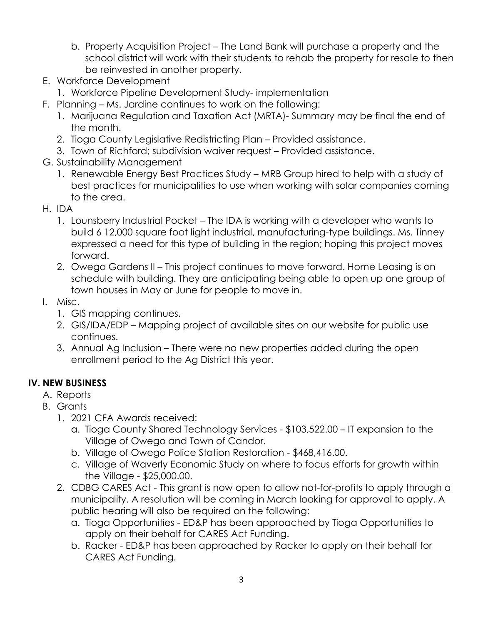- b. Property Acquisition Project The Land Bank will purchase a property and the school district will work with their students to rehab the property for resale to then be reinvested in another property.
- E. Workforce Development
	- 1. Workforce Pipeline Development Study- implementation
- F. Planning Ms. Jardine continues to work on the following:
	- 1. Marijuana Regulation and Taxation Act (MRTA)- Summary may be final the end of the month.
	- 2. Tioga County Legislative Redistricting Plan Provided assistance.
	- 3. Town of Richford; subdivision waiver request Provided assistance.
- G. Sustainability Management
	- 1. Renewable Energy Best Practices Study MRB Group hired to help with a study of best practices for municipalities to use when working with solar companies coming to the area.
- H. IDA
	- 1. Lounsberry Industrial Pocket The IDA is working with a developer who wants to build 6 12,000 square foot light industrial, manufacturing-type buildings. Ms. Tinney expressed a need for this type of building in the region; hoping this project moves forward.
	- 2. Owego Gardens II This project continues to move forward. Home Leasing is on schedule with building. They are anticipating being able to open up one group of town houses in May or June for people to move in.
- I. Misc.
	- 1. GIS mapping continues.
	- 2. GIS/IDA/EDP Mapping project of available sites on our website for public use continues.
	- 3. Annual Ag Inclusion There were no new properties added during the open enrollment period to the Ag District this year.

## **IV. NEW BUSINESS**

- A. Reports
- B. Grants
	- 1. 2021 CFA Awards received:
		- a. Tioga County Shared Technology Services \$103,522.00 IT expansion to the Village of Owego and Town of Candor.
		- b. Village of Owego Police Station Restoration \$468,416.00.
		- c. Village of Waverly Economic Study on where to focus efforts for growth within the Village - \$25,000.00.
	- 2. CDBG CARES Act This grant is now open to allow not-for-profits to apply through a municipality. A resolution will be coming in March looking for approval to apply. A public hearing will also be required on the following:
		- a. Tioga Opportunities ED&P has been approached by Tioga Opportunities to apply on their behalf for CARES Act Funding.
		- b. Racker ED&P has been approached by Racker to apply on their behalf for CARES Act Funding.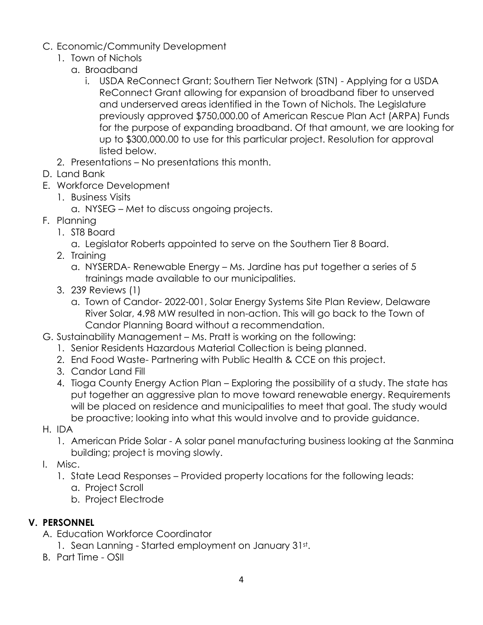- C. Economic/Community Development
	- 1. Town of Nichols
		- a. Broadband
			- i. USDA ReConnect Grant; Southern Tier Network (STN) Applying for a USDA ReConnect Grant allowing for expansion of broadband fiber to unserved and underserved areas identified in the Town of Nichols. The Legislature previously approved \$750,000.00 of American Rescue Plan Act (ARPA) Funds for the purpose of expanding broadband. Of that amount, we are looking for up to \$300,000.00 to use for this particular project. Resolution for approval listed below.
	- 2. Presentations No presentations this month.
- D. Land Bank
- E. Workforce Development
	- 1. Business Visits
		- a. NYSEG Met to discuss ongoing projects.
- F. Planning
	- 1. ST8 Board
		- a. Legislator Roberts appointed to serve on the Southern Tier 8 Board.
	- 2. Training
		- a. NYSERDA- Renewable Energy Ms. Jardine has put together a series of 5 trainings made available to our municipalities.
	- 3. 239 Reviews (1)
		- a. Town of Candor- 2022-001, Solar Energy Systems Site Plan Review, Delaware River Solar, 4.98 MW resulted in non-action. This will go back to the Town of Candor Planning Board without a recommendation.
- G. Sustainability Management Ms. Pratt is working on the following:
	- 1. Senior Residents Hazardous Material Collection is being planned.
	- 2. End Food Waste- Partnering with Public Health & CCE on this project.
	- 3. Candor Land Fill
	- 4. Tioga County Energy Action Plan Exploring the possibility of a study. The state has put together an aggressive plan to move toward renewable energy. Requirements will be placed on residence and municipalities to meet that goal. The study would be proactive; looking into what this would involve and to provide guidance.
- H. IDA
	- 1. American Pride Solar A solar panel manufacturing business looking at the Sanmina building; project is moving slowly.
- I. Misc.
	- 1. State Lead Responses Provided property locations for the following leads:
		- a. Project Scroll
		- b. Project Electrode

## **V. PERSONNEL**

- A. Education Workforce Coordinator
	- 1. Sean Lanning Started employment on January 31st.
- B. Part Time OSII